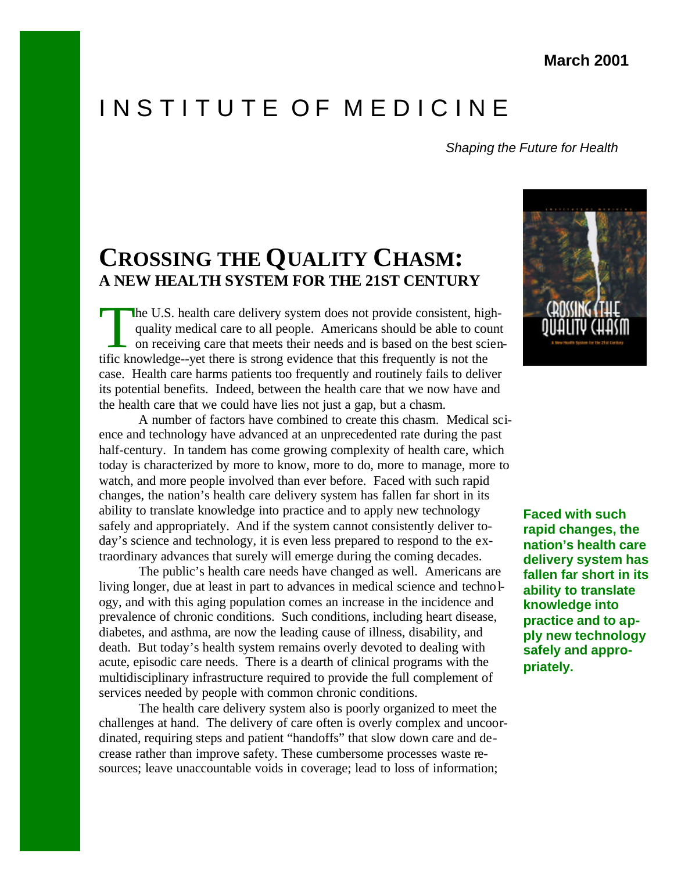**March 2001**

# IN STITUTE OF MEDICINE

*Shaping the Future for Health* 

# **CROSSING THE QUALITY CHASM: A NEW HEALTH SYSTEM FOR THE 21ST CENTURY**

The U.S. health care delivery system does not provide consistent, high-<br>quality medical care to all people. Americans should be able to count<br>on receiving care that meets their needs and is based on the best scientific kno quality medical care to all people. Americans should be able to count on receiving care that meets their needs and is based on the best scientific knowledge--yet there is strong evidence that this frequently is not the case. Health care harms patients too frequently and routinely fails to deliver its potential benefits. Indeed, between the health care that we now have and the health care that we could have lies not just a gap, but a chasm.

A number of factors have combined to create this chasm. Medical science and technology have advanced at an unprecedented rate during the past half-century. In tandem has come growing complexity of health care, which today is characterized by more to know, more to do, more to manage, more to watch, and more people involved than ever before. Faced with such rapid changes, the nation's health care delivery system has fallen far short in its ability to translate knowledge into practice and to apply new technology safely and appropriately. And if the system cannot consistently deliver today's science and technology, it is even less prepared to respond to the extraordinary advances that surely will emerge during the coming decades.

The public's health care needs have changed as well. Americans are living longer, due at least in part to advances in medical science and technology, and with this aging population comes an increase in the incidence and prevalence of chronic conditions. Such conditions, including heart disease, diabetes, and asthma, are now the leading cause of illness, disability, and death. But today's health system remains overly devoted to dealing with acute, episodic care needs. There is a dearth of clinical programs with the multidisciplinary infrastructure required to provide the full complement of services needed by people with common chronic conditions.

The health care delivery system also is poorly organized to meet the challenges at hand. The delivery of care often is overly complex and uncoordinated, requiring steps and patient "handoffs" that slow down care and decrease rather than improve safety. These cumbersome processes waste resources; leave unaccountable voids in coverage; lead to loss of information;



**Faced with such rapid changes, the nation's health care delivery system has fallen far short in its ability to translate knowledge into practice and to apply new technology safely and appropriately.**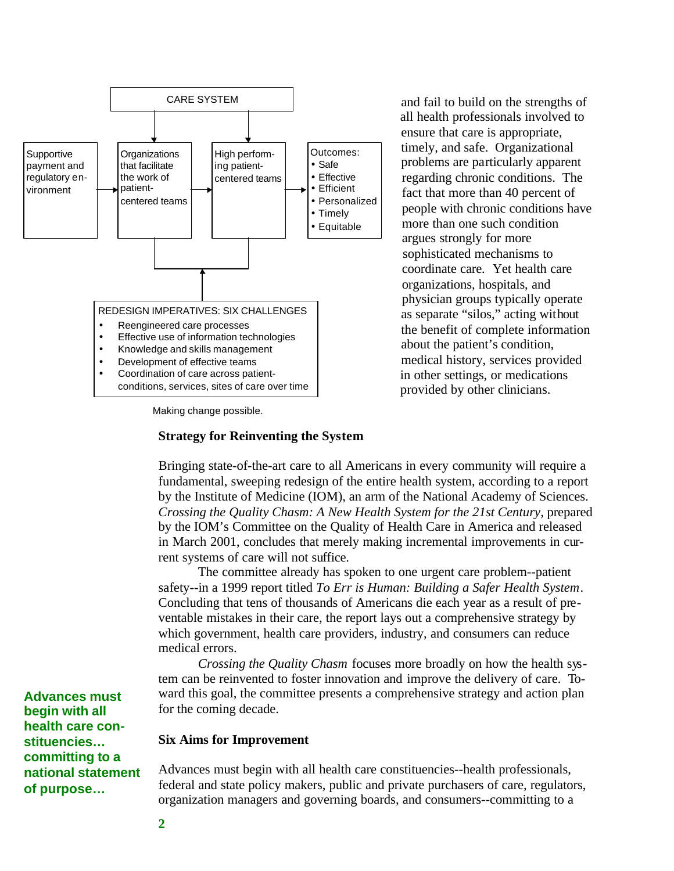

and fail to build on the strengths of all health professionals involved to ensure that care is appropriate, timely, and safe. Organizational problems are particularly apparent regarding chronic conditions. The fact that more than 40 percent of people with chronic conditions have more than one such condition argues strongly for more sophisticated mechanisms to coordinate care. Yet health care organizations, hospitals, and physician groups typically operate as separate "silos," acting without the benefit of complete information about the patient's condition, medical history, services provided in other settings, or medications provided by other clinicians.

Making change possible.

## **Strategy for Reinventing the System**

Bringing state-of-the-art care to all Americans in every community will require a fundamental, sweeping redesign of the entire health system, according to a report by the Institute of Medicine (IOM), an arm of the National Academy of Sciences. *Crossing the Quality Chasm: A New Health System for the 21st Century*, prepared by the IOM's Committee on the Quality of Health Care in America and released in March 2001, concludes that merely making incremental improvements in current systems of care will not suffice.

The committee already has spoken to one urgent care problem--patient safety--in a 1999 report titled *To Err is Human: Building a Safer Health System*. Concluding that tens of thousands of Americans die each year as a result of preventable mistakes in their care, the report lays out a comprehensive strategy by which government, health care providers, industry, and consumers can reduce medical errors.

*Crossing the Quality Chasm* focuses more broadly on how the health system can be reinvented to foster innovation and improve the delivery of care. Toward this goal, the committee presents a comprehensive strategy and action plan for the coming decade.

### **Six Aims for Improvement**

Advances must begin with all health care constituencies--health professionals, federal and state policy makers, public and private purchasers of care, regulators, organization managers and governing boards, and consumers--committing to a

**Advances must begin with all health care constituencies… committing to a national statement of purpose…** 

# **2**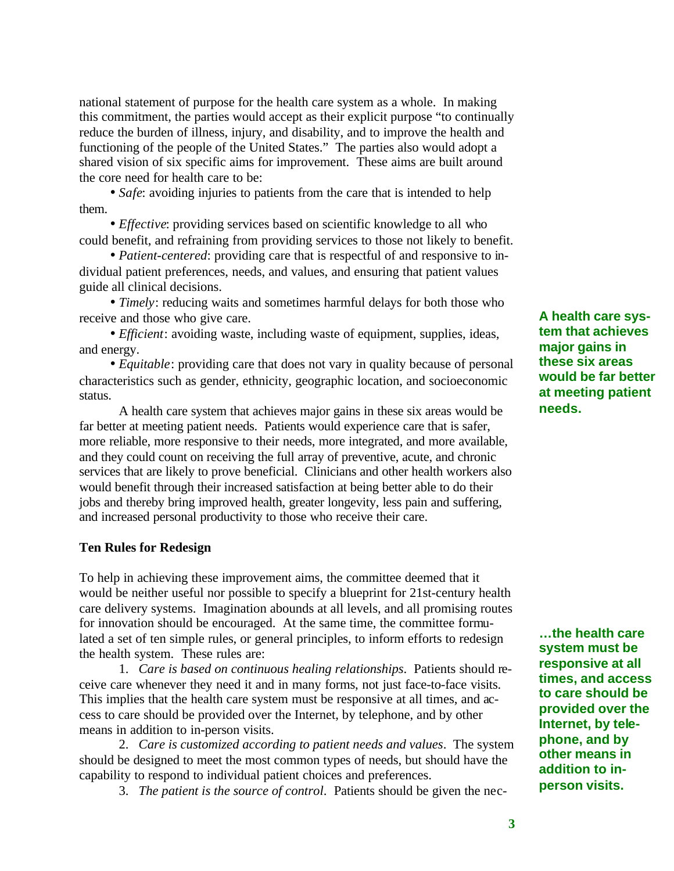national statement of purpose for the health care system as a whole. In making this commitment, the parties would accept as their explicit purpose "to continually reduce the burden of illness, injury, and disability, and to improve the health and functioning of the people of the United States." The parties also would adopt a shared vision of six specific aims for improvement. These aims are built around the core need for health care to be:

• *Safe*: avoiding injuries to patients from the care that is intended to help them.

• *Effective*: providing services based on scientific knowledge to all who could benefit, and refraining from providing services to those not likely to benefit.

• *Patient-centered*: providing care that is respectful of and responsive to individual patient preferences, needs, and values, and ensuring that patient values guide all clinical decisions.

• *Timely*: reducing waits and sometimes harmful delays for both those who receive and those who give care.

• *Efficient*: avoiding waste, including waste of equipment, supplies, ideas, and energy.

• *Equitable*: providing care that does not vary in quality because of personal characteristics such as gender, ethnicity, geographic location, and socioeconomic status.

A health care system that achieves major gains in these six areas would be far better at meeting patient needs. Patients would experience care that is safer, more reliable, more responsive to their needs, more integrated, and more available, and they could count on receiving the full array of preventive, acute, and chronic services that are likely to prove beneficial. Clinicians and other health workers also would benefit through their increased satisfaction at being better able to do their jobs and thereby bring improved health, greater longevity, less pain and suffering, and increased personal productivity to those who receive their care.

# **Ten Rules for Redesign**

To help in achieving these improvement aims, the committee deemed that it would be neither useful nor possible to specify a blueprint for 21st-century health care delivery systems. Imagination abounds at all levels, and all promising routes for innovation should be encouraged. At the same time, the committee formulated a set of ten simple rules, or general principles, to inform efforts to redesign the health system. These rules are:

1. *Care is based on continuous healing relationships*. Patients should receive care whenever they need it and in many forms, not just face-to-face visits. This implies that the health care system must be responsive at all times, and access to care should be provided over the Internet, by telephone, and by other means in addition to in-person visits.

2. *Care is customized according to patient needs and values*. The system should be designed to meet the most common types of needs, but should have the capability to respond to individual patient choices and preferences.

3. *The patient is the source of control*. Patients should be given the nec-

**A health care system that achieves major gains in these six areas would be far better at meeting patient needs.** 

**…the health care system must be responsive at all times, and access to care should be provided over the Internet, by telephone, and by other means in addition to inperson visits.**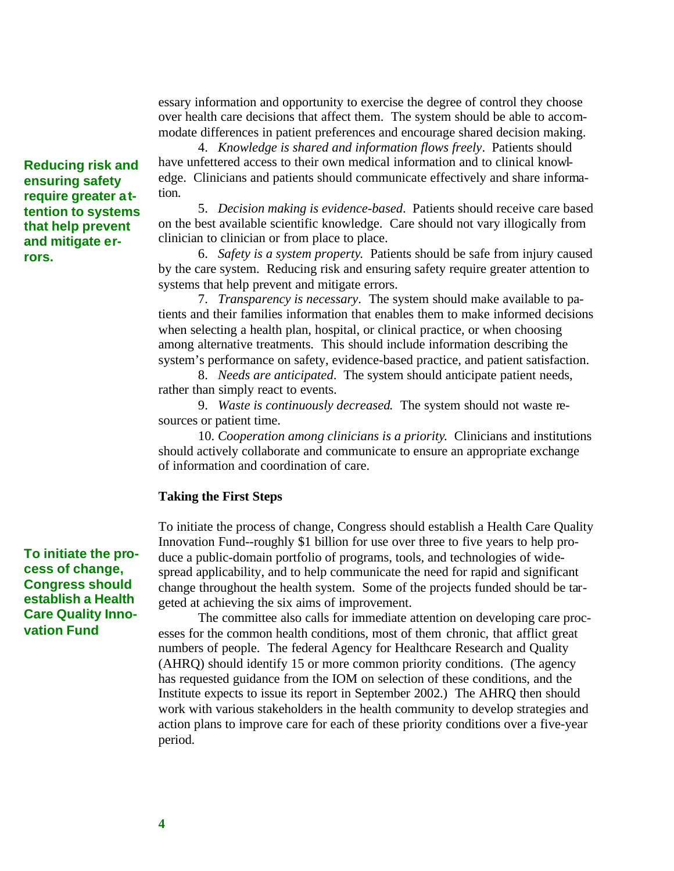essary information and opportunity to exercise the degree of control they choose over health care decisions that affect them. The system should be able to accommodate differences in patient preferences and encourage shared decision making.

4. *Knowledge is shared and information flows freely*. Patients should have unfettered access to their own medical information and to clinical knowledge. Clinicians and patients should communicate effectively and share information.

5. *Decision making is evidence-based*. Patients should receive care based on the best available scientific knowledge. Care should not vary illogically from clinician to clinician or from place to place.

6. *Safety is a system property*. Patients should be safe from injury caused by the care system. Reducing risk and ensuring safety require greater attention to systems that help prevent and mitigate errors.

7. *Transparency is necessary*. The system should make available to patients and their families information that enables them to make informed decisions when selecting a health plan, hospital, or clinical practice, or when choosing among alternative treatments. This should include information describing the system's performance on safety, evidence-based practice, and patient satisfaction.

8. *Needs are anticipated*. The system should anticipate patient needs, rather than simply react to events.

9. *Waste is continuously decreased*. The system should not waste resources or patient time.

10. *Cooperation among clinicians is a priority*. Clinicians and institutions should actively collaborate and communicate to ensure an appropriate exchange of information and coordination of care.

### **Taking the First Steps**

To initiate the process of change, Congress should establish a Health Care Quality Innovation Fund--roughly \$1 billion for use over three to five years to help produce a public-domain portfolio of programs, tools, and technologies of widespread applicability, and to help communicate the need for rapid and significant change throughout the health system. Some of the projects funded should be targeted at achieving the six aims of improvement.

The committee also calls for immediate attention on developing care processes for the common health conditions, most of them chronic, that afflict great numbers of people. The federal Agency for Healthcare Research and Quality (AHRQ) should identify 15 or more common priority conditions. (The agency has requested guidance from the IOM on selection of these conditions, and the Institute expects to issue its report in September 2002.) The AHRQ then should work with various stakeholders in the health community to develop strategies and action plans to improve care for each of these priority conditions over a five-year period.

**Reducing risk and ensuring safety require greater attention to systems that help prevent and mitigate errors.** 

**To initiate the process of change, Congress should establish a Health Care Quality Innovation Fund**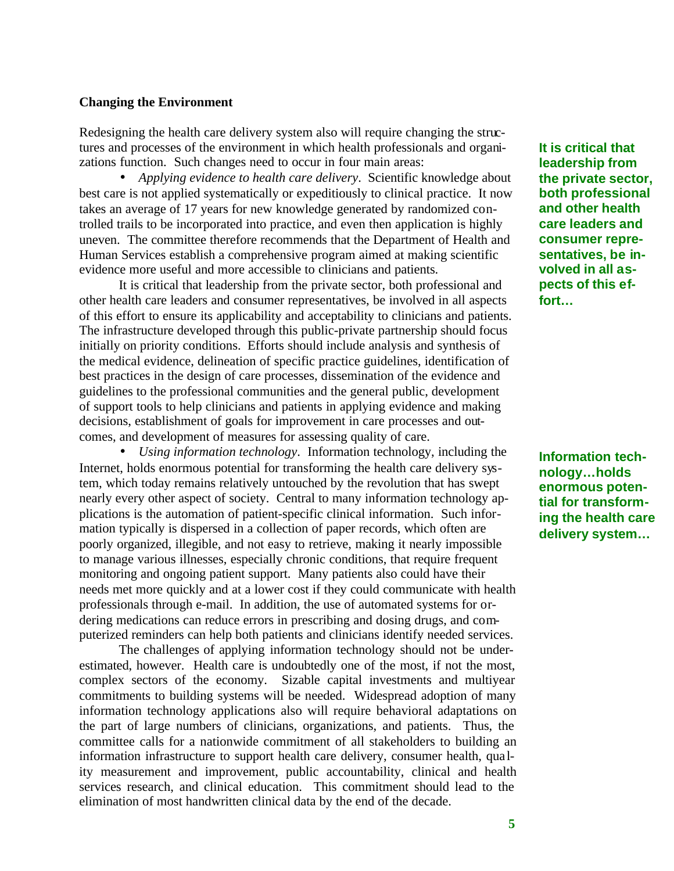# **Changing the Environment**

Redesigning the health care delivery system also will require changing the structures and processes of the environment in which health professionals and organizations function. Such changes need to occur in four main areas:

• *Applying evidence to health care delivery*. Scientific knowledge about best care is not applied systematically or expeditiously to clinical practice. It now takes an average of 17 years for new knowledge generated by randomized controlled trails to be incorporated into practice, and even then application is highly uneven. The committee therefore recommends that the Department of Health and Human Services establish a comprehensive program aimed at making scientific evidence more useful and more accessible to clinicians and patients.

It is critical that leadership from the private sector, both professional and other health care leaders and consumer representatives, be involved in all aspects of this effort to ensure its applicability and acceptability to clinicians and patients. The infrastructure developed through this public-private partnership should focus initially on priority conditions. Efforts should include analysis and synthesis of the medical evidence, delineation of specific practice guidelines, identification of best practices in the design of care processes, dissemination of the evidence and guidelines to the professional communities and the general public, development of support tools to help clinicians and patients in applying evidence and making decisions, establishment of goals for improvement in care processes and outcomes, and development of measures for assessing quality of care.

• *Using information technology*. Information technology, including the Internet, holds enormous potential for transforming the health care delivery system, which today remains relatively untouched by the revolution that has swept nearly every other aspect of society. Central to many information technology applications is the automation of patient-specific clinical information. Such information typically is dispersed in a collection of paper records, which often are poorly organized, illegible, and not easy to retrieve, making it nearly impossible to manage various illnesses, especially chronic conditions, that require frequent monitoring and ongoing patient support. Many patients also could have their needs met more quickly and at a lower cost if they could communicate with health professionals through e-mail. In addition, the use of automated systems for ordering medications can reduce errors in prescribing and dosing drugs, and computerized reminders can help both patients and clinicians identify needed services.

The challenges of applying information technology should not be underestimated, however. Health care is undoubtedly one of the most, if not the most, complex sectors of the economy. Sizable capital investments and multiyear commitments to building systems will be needed. Widespread adoption of many information technology applications also will require behavioral adaptations on the part of large numbers of clinicians, organizations, and patients. Thus, the committee calls for a nationwide commitment of all stakeholders to building an information infrastructure to support health care delivery, consumer health, qua lity measurement and improvement, public accountability, clinical and health services research, and clinical education. This commitment should lead to the elimination of most handwritten clinical data by the end of the decade.

**It is critical that leadership from the private sector, both professional and other health care leaders and consumer representatives, be involved in all aspects of this effort…** 

**Information technology…holds enormous potential for transforming the health care delivery system…**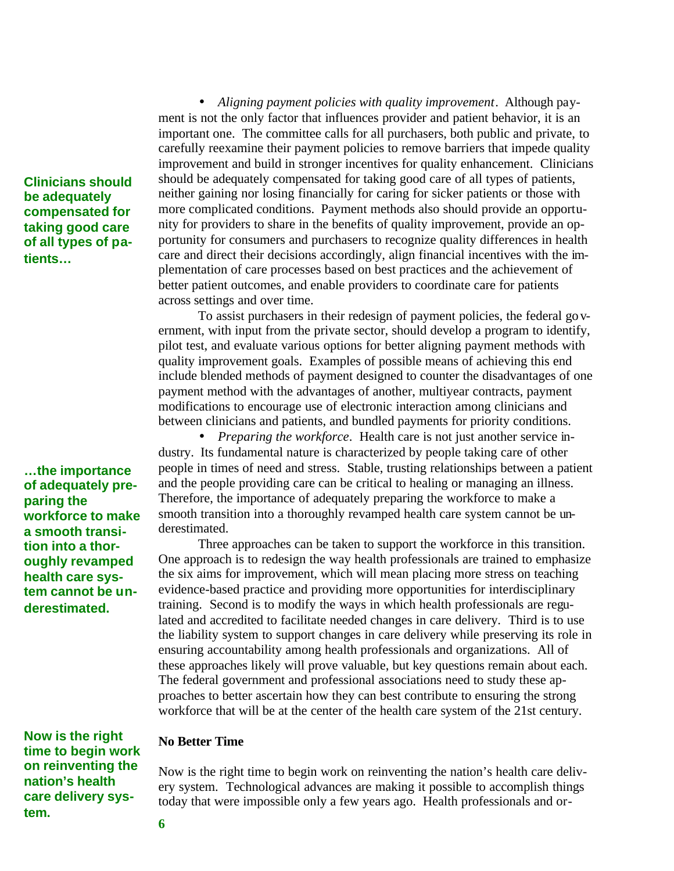**Clinicians should be adequately compensated for taking good care of all types of patients…** 

**…the importance of adequately preparing the workforce to make a smooth transition into a thoroughly revamped health care system cannot be underestimated.** 

#### **Now is the right time to begin work on reinventing the No Better Time**

Now is the right time to begin work on reinventing the nation's health care delivery system. Technological advances are making it possible to accomplish things today that were impossible only a few years ago. Health professionals and or-

One approach is to redesign the way health professionals are trained to emphasize the six aims for improvement, which will mean placing more stress on teaching evidence-based practice and providing more opportunities for interdisciplinary training. Second is to modify the ways in which health professionals are regulated and accredited to facilitate needed changes in care delivery. Third is to use the liability system to support changes in care delivery while preserving its role in ensuring accountability among health professionals and organizations. All of these approaches likely will prove valuable, but key questions remain about each. The federal government and professional associations need to study these approaches to better ascertain how they can best contribute to ensuring the strong workforce that will be at the center of the health care system of the 21st century.

between clinicians and patients, and bundled payments for priority conditions. • *Preparing the workforce*. Health care is not just another service industry. Its fundamental nature is characterized by people taking care of other people in times of need and stress. Stable, trusting relationships between a patient and the people providing care can be critical to healing or managing an illness. Therefore, the importance of adequately preparing the workforce to make a smooth transition into a thoroughly revamped health care system cannot be underestimated.

Three approaches can be taken to support the workforce in this transition.

• *Aligning payment policies with quality improvement*. Although payment is not the only factor that influences provider and patient behavior, it is an important one. The committee calls for all purchasers, both public and private, to carefully reexamine their payment policies to remove barriers that impede quality improvement and build in stronger incentives for quality enhancement. Clinicians should be adequately compensated for taking good care of all types of patients, neither gaining nor losing financially for caring for sicker patients or those with more complicated conditions. Payment methods also should provide an opportunity for providers to share in the benefits of quality improvement, provide an opportunity for consumers and purchasers to recognize quality differences in health care and direct their decisions accordingly, align financial incentives with the implementation of care processes based on best practices and the achievement of better patient outcomes, and enable providers to coordinate care for patients across settings and over time. To assist purchasers in their redesign of payment policies, the federal go v-

ernment, with input from the private sector, should develop a program to identify, pilot test, and evaluate various options for better aligning payment methods with quality improvement goals. Examples of possible means of achieving this end include blended methods of payment designed to counter the disadvantages of one payment method with the advantages of another, multiyear contracts, payment modifications to encourage use of electronic interaction among clinicians and

**nation's health care delivery sys-**

**tem.**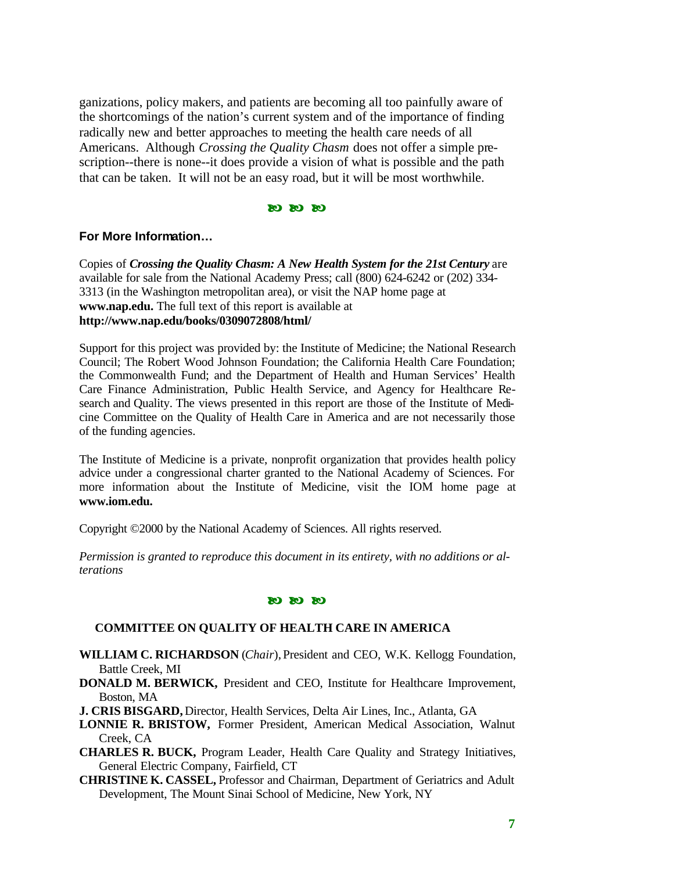the shortcomings of the nation's current system and of the importance of finding radically new and better approaches to meeting the health care needs of all Americans. Although *Crossing the Quality Chasm* does not offer a simple prescription--there is none--it does provide a vision of what is possible and the path that can be taken. It will not be an easy road, but it will be most worthwhile.

### *<b>w w w*

# **For More Information…**

Copies of *Crossing the Quality Chasm: A New Health System for the 21st Century* are available for sale from the National Academy Press; call (800) 624-6242 or (202) 334- 3313 (in the Washington metropolitan area), or visit the NAP home page at **www.nap.edu.** The full text of this report is available at **http://www.nap.edu/books/0309072808/html/** 

**Branching Drawing Solicy makers, and patients are becoming all too painfully aware of finding the health care heads of all Americans. Although Crossing the Quality Chasm does not offer a simple pre-<br>Strations-there is non** Support for this project was provided by: the Institute of Medicine; the National Research Council; The Robert Wood Johnson Foundation; the California Health Care Foundation; the Commonwealth Fund; and the Department of Health and Human Services' Health Care Finance Administration, Public Health Service, and Agency for Healthcare Research and Quality. The views presented in this report are those of the Institute of Medicine Committee on the Quality of Health Care in America and are not necessarily those of the funding agencies.

The Institute of Medicine is a private, nonprofit organization that provides health policy advice under a congressional charter granted to the National Academy of Sciences. For more information about the Institute of Medicine, visit the IOM home page at **www.iom.edu.** 

Copyright ©2000 by the National Academy of Sciences. All rights reserved.

*Permission is granted to reproduce this document in its entirety, with no additions or alterations* 

#### **� � �**

#### **COMMITTEE ON QUALITY OF HEALTH CARE IN AMERICA**

- **WILLIAM C. RICHARDSON** (*Chair*), President and CEO, W.K. Kellogg Foundation, Battle Creek, MI
- **DONALD M. BERWICK,** President and CEO, Institute for Healthcare Improvement, Boston, MA
- **J. CRIS BISGARD,** Director, Health Services, Delta Air Lines, Inc., Atlanta, GA
- **LONNIE R. BRISTOW,** Former President, American Medical Association, Walnut Creek, CA
- **CHARLES R. BUCK,** Program Leader, Health Care Quality and Strategy Initiatives, General Electric Company, Fairfield, CT
- **CHRISTINE K. CASSEL,** Professor and Chairman, Department of Geriatrics and Adult Development, The Mount Sinai School of Medicine, New York, NY